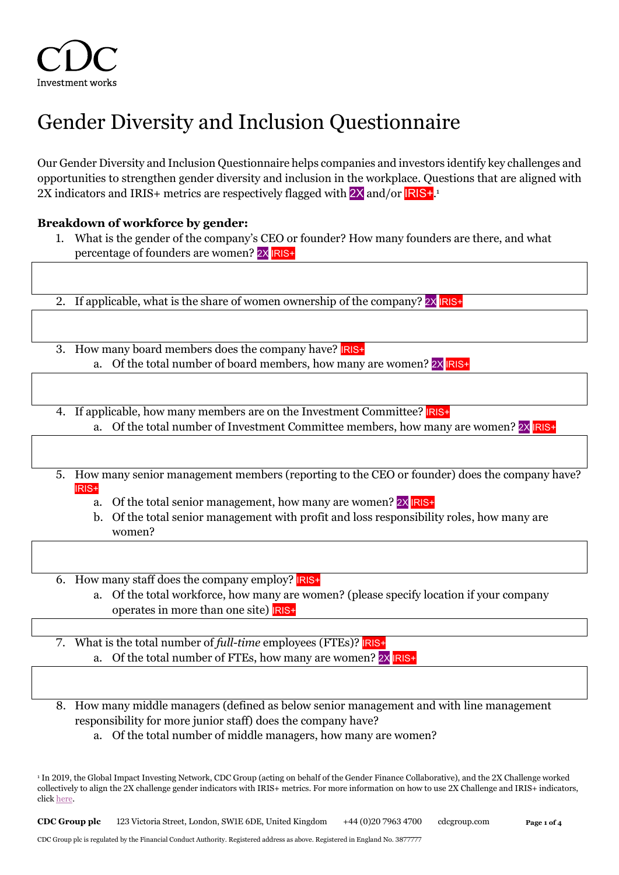# Gender Diversity and Inclusion Questionnaire

Our Gender Diversity and Inclusion Questionnaire helps companies and investors identify key challenges and opportunities to strengthen gender diversity and inclusion in the workplace. Questions that are aligned with 2X indicators and IRIS+ metrics are respectively flagged with <mark>2X</mark> and/or <mark>IRIS+</mark>.<sup>1</sup>

# **Breakdown of workforce by gender:**

1. What is the gender of the company's CEO or founder? How many founders are there, and what percentage of founders are women? 2X IRIS+.

2. If applicable, what is the share of women ownership of the company?  $2 \times |R|S^+$ .

- 3. How many board members does the company have? **RIS+** a. Of the total number of board members, how many are women? 2X IRIS+
- 4. If applicable, how many members are on the Investment Committee? **IRIS+** a. Of the total number of Investment Committee members, how many are women?  $2 \times |R|S^+$
- 5. How many senior management members (reporting to the CEO or founder) does the company have? IRIS+
	- a. Of the total senior management, how many are women? 2X **RIS+**
	- b. Of the total senior management with profit and loss responsibility roles, how many are women?
- 6. How many staff does the company employ? IRIS+
	- a. Of the total workforce, how many are women? (please specify location if your company operates in more than one site)  $IRIS<sub>+</sub>$
- 7. What is the total number of *full-time* employees (FTEs)? IRIS+ a. Of the total number of FTEs, how many are women? 2X **RIS+**
- 8. How many middle managers (defined as below senior management and with line management responsibility for more junior staff) does the company have?
	- a. Of the total number of middle managers, how many are women?

**CDC Group plc** 123 Victoria Street, London, SW1E 6DE, United Kingdom +44 (0)20 7963 4700 cdcgroup.com **Page 1 of 4**

<sup>1</sup> In 2019, the Global Impact Investing Network, CDC Group (acting on behalf of the Gender Finance Collaborative), and the 2X Challenge worked collectively to align the 2X challenge gender indicators with IRIS+ metrics. For more information on how to use 2X Challenge and IRIS+ indicators, click [here.](https://s3.amazonaws.com/giin-web-assets/iris/assets/files/whitepapers/IRIS_2XChallenge_2-pager_June-2020.pdf)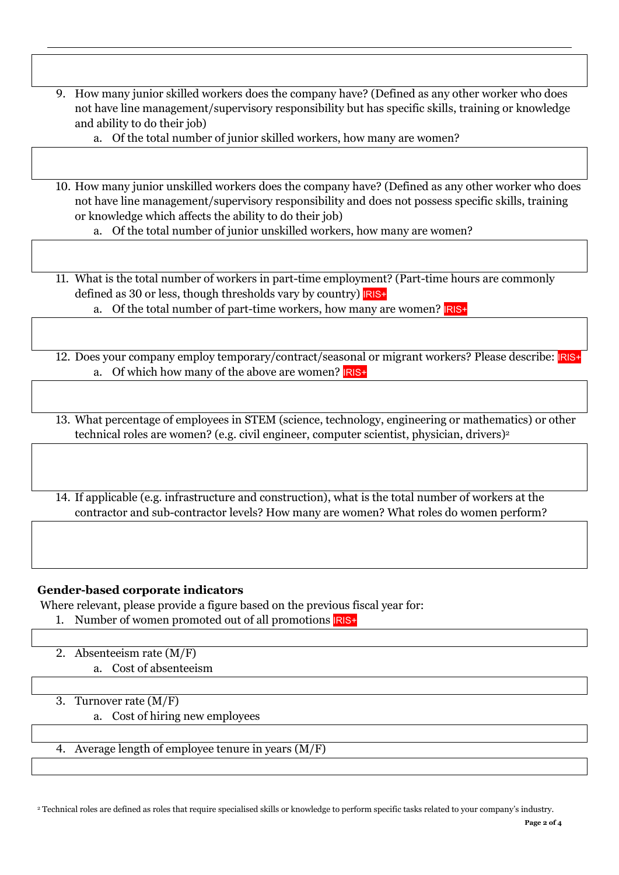- 9. How many junior skilled workers does the company have? (Defined as any other worker who does not have line management/supervisory responsibility but has specific skills, training or knowledge and ability to do their job)
	- a. Of the total number of junior skilled workers, how many are women?
- 10. How many junior unskilled workers does the company have? (Defined as any other worker who does not have line management/supervisory responsibility and does not possess specific skills, training or knowledge which affects the ability to do their job)
	- a. Of the total number of junior unskilled workers, how many are women?
- 11. What is the total number of workers in part-time employment? (Part-time hours are commonly defined as 30 or less, though thresholds vary by country) **IRIS**+
	- a. Of the total number of part-time workers, how many are women?  $IRIS+$
- 12. Does your company employ temporary/contract/seasonal or migrant workers? Please describe: IRIS+ a. Of which how many of the above are women? **IRIS+**
- 13. What percentage of employees in STEM (science, technology, engineering or mathematics) or other technical roles are women? (e.g. civil engineer, computer scientist, physician, drivers) 2
- 14. If applicable (e.g. infrastructure and construction), what is the total number of workers at the contractor and sub-contractor levels? How many are women? What roles do women perform?

#### **Gender-based corporate indicators**

Where relevant, please provide a figure based on the previous fiscal year for:

- 1. Number of women promoted out of all promotions **RIS**+
- 2. Absenteeism rate (M/F) a. Cost of absenteeism

3. Turnover rate (M/F)

- a. Cost of hiring new employees
- 4. Average length of employee tenure in years (M/F)

<sup>2</sup> Technical roles are defined as roles that require specialised skills or knowledge to perform specific tasks related to your company's industry.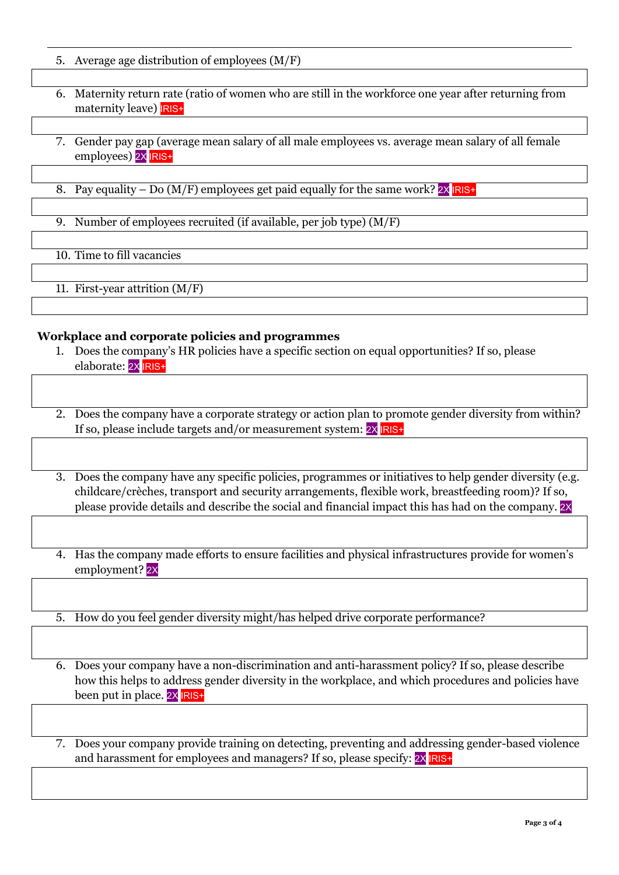- 5. Average age distribution of employees (M/F)
- 6. Maternity return rate (ratio of women who are still in the workforce one year after returning from maternity leave) **RIS+**
- 7. Gender pay gap (average mean salary of all male employees vs. average mean salary of all female employees) 2X IRIS+
- 8. Pay equality Do  $(M/F)$  employees get paid equally for the same work?  $2X$   $IRIS+$
- 9. Number of employees recruited (if available, per job type) (M/F)

10. Time to fill vacancies

11. First-year attrition (M/F)

## **Workplace and corporate policies and programmes**

- 1. Does the company's HR policies have a specific section on equal opportunities? If so, please elaborate: 2X IRIS+
- 2. Does the company have a corporate strategy or action plan to promote gender diversity from within? If so, please include targets and/or measurement system:  $2X$  RIS+
- 3. Does the company have any specific policies, programmes or initiatives to help gender diversity (e.g. childcare/crèches, transport and security arrangements, flexible work, breastfeeding room)? If so, please provide details and describe the social and financial impact this has had on the company. 2X
- 4. Has the company made efforts to ensure facilities and physical infrastructures provide for women's employment? 2X

5. How do you feel gender diversity might/has helped drive corporate performance?

6. Does your company have a non-discrimination and anti-harassment policy? If so, please describe how this helps to address gender diversity in the workplace, and which procedures and policies have been put in place. 2X **RIS+** 

7. Does your company provide training on detecting, preventing and addressing gender-based violence and harassment for employees and managers? If so, please specify:  $2X$  RIS+